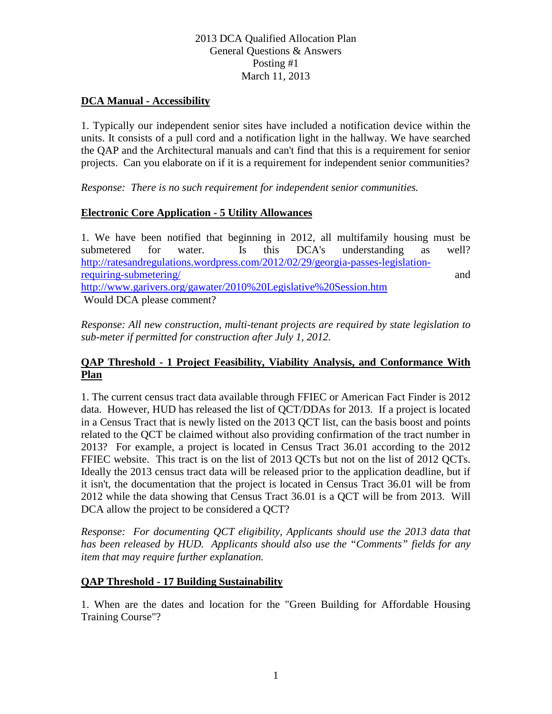### **DCA Manual - Accessibility**

1. Typically our independent senior sites have included a notification device within the units. It consists of a pull cord and a notification light in the hallway. We have searched the QAP and the Architectural manuals and can't find that this is a requirement for senior projects. Can you elaborate on if it is a requirement for independent senior communities?

*Response: There is no such requirement for independent senior communities.*

### **Electronic Core Application - 5 Utility Allowances**

1. We have been notified that beginning in 2012, all multifamily housing must be submetered for water. Is this DCA's understanding as well? [http://ratesandregulations.wordpress.com/2012/02/29/georgia-passes-legislation](http://ratesandregulations.wordpress.com/2012/02/29/georgia-passes-legislation-requiring-submetering/)[requiring-submetering/](http://ratesandregulations.wordpress.com/2012/02/29/georgia-passes-legislation-requiring-submetering/) and <http://www.garivers.org/gawater/2010%20Legislative%20Session.htm> Would DCA please comment?

*Response: All new construction, multi-tenant projects are required by state legislation to sub-meter if permitted for construction after July 1, 2012.*

### **QAP Threshold - 1 Project Feasibility, Viability Analysis, and Conformance With Plan**

1. The current census tract data available through FFIEC or American Fact Finder is 2012 data. However, HUD has released the list of QCT/DDAs for 2013. If a project is located in a Census Tract that is newly listed on the 2013 QCT list, can the basis boost and points related to the QCT be claimed without also providing confirmation of the tract number in 2013? For example, a project is located in Census Tract 36.01 according to the 2012 FFIEC website. This tract is on the list of 2013 QCTs but not on the list of 2012 QCTs. Ideally the 2013 census tract data will be released prior to the application deadline, but if it isn't, the documentation that the project is located in Census Tract 36.01 will be from 2012 while the data showing that Census Tract 36.01 is a QCT will be from 2013. Will DCA allow the project to be considered a QCT?

*Response: For documenting QCT eligibility, Applicants should use the 2013 data that has been released by HUD. Applicants should also use the "Comments" fields for any item that may require further explanation.*

### **QAP Threshold - 17 Building Sustainability**

1. When are the dates and location for the "Green Building for Affordable Housing Training Course"?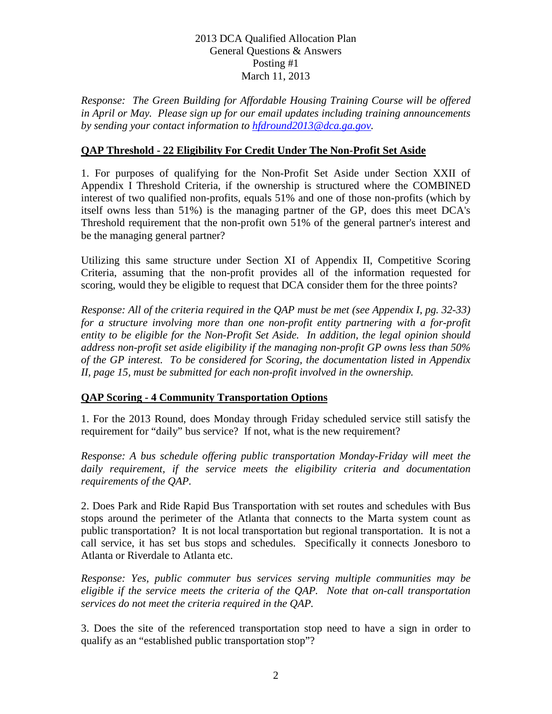*Response: The Green Building for Affordable Housing Training Course will be offered in April or May. Please sign up for our email updates including training announcements by sending your contact information to [hfdround2013@dca.ga.gov.](mailto:hfdround2013@dca.ga.gov)*

## **QAP Threshold - 22 Eligibility For Credit Under The Non-Profit Set Aside**

1. For purposes of qualifying for the Non-Profit Set Aside under Section XXII of Appendix I Threshold Criteria, if the ownership is structured where the COMBINED interest of two qualified non-profits, equals 51% and one of those non-profits (which by itself owns less than 51%) is the managing partner of the GP, does this meet DCA's Threshold requirement that the non-profit own 51% of the general partner's interest and be the managing general partner?

Utilizing this same structure under Section XI of Appendix II, Competitive Scoring Criteria, assuming that the non-profit provides all of the information requested for scoring, would they be eligible to request that DCA consider them for the three points?

*Response: All of the criteria required in the QAP must be met (see Appendix I, pg. 32-33) for a structure involving more than one non-profit entity partnering with a for-profit entity to be eligible for the Non-Profit Set Aside. In addition, the legal opinion should address non-profit set aside eligibility if the managing non-profit GP owns less than 50% of the GP interest. To be considered for Scoring, the documentation listed in Appendix II, page 15, must be submitted for each non-profit involved in the ownership.* 

## **QAP Scoring - 4 Community Transportation Options**

1. For the 2013 Round, does Monday through Friday scheduled service still satisfy the requirement for "daily" bus service? If not, what is the new requirement?

*Response: A bus schedule offering public transportation Monday-Friday will meet the daily requirement, if the service meets the eligibility criteria and documentation requirements of the QAP.*

2. Does Park and Ride Rapid Bus Transportation with set routes and schedules with Bus stops around the perimeter of the Atlanta that connects to the Marta system count as public transportation? It is not local transportation but regional transportation. It is not a call service, it has set bus stops and schedules. Specifically it connects Jonesboro to Atlanta or Riverdale to Atlanta etc.

*Response: Yes, public commuter bus services serving multiple communities may be eligible if the service meets the criteria of the QAP. Note that on-call transportation services do not meet the criteria required in the QAP.*

3. Does the site of the referenced transportation stop need to have a sign in order to qualify as an "established public transportation stop"?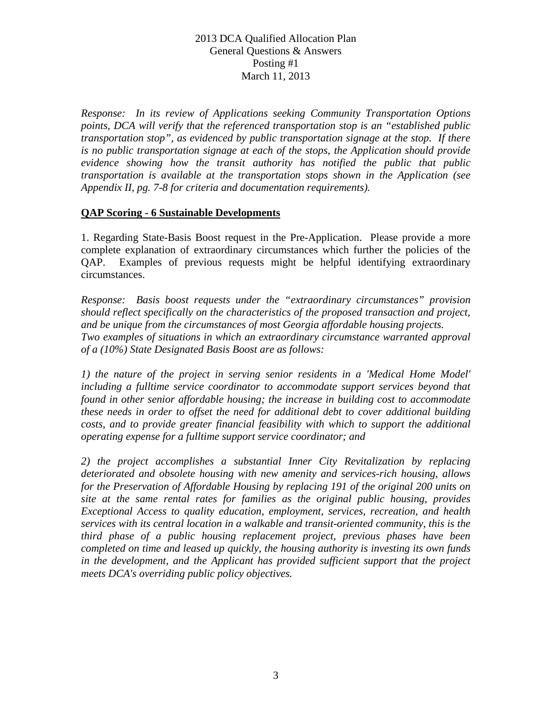*Response: In its review of Applications seeking Community Transportation Options points, DCA will verify that the referenced transportation stop is an "established public transportation stop", as evidenced by public transportation signage at the stop. If there is no public transportation signage at each of the stops, the Application should provide evidence showing how the transit authority has notified the public that public transportation is available at the transportation stops shown in the Application (see Appendix II, pg. 7-8 for criteria and documentation requirements).*

### **QAP Scoring - 6 Sustainable Developments**

1. Regarding State-Basis Boost request in the Pre-Application. Please provide a more complete explanation of extraordinary circumstances which further the policies of the QAP. Examples of previous requests might be helpful identifying extraordinary circumstances.

*Response: Basis boost requests under the "extraordinary circumstances" provision should reflect specifically on the characteristics of the proposed transaction and project, and be unique from the circumstances of most Georgia affordable housing projects. Two examples of situations in which an extraordinary circumstance warranted approval of a (10%) State Designated Basis Boost are as follows:* 

*1) the nature of the project in serving senior residents in a 'Medical Home Model' including a fulltime service coordinator to accommodate support services beyond that found in other senior affordable housing; the increase in building cost to accommodate these needs in order to offset the need for additional debt to cover additional building costs, and to provide greater financial feasibility with which to support the additional operating expense for a fulltime support service coordinator; and* 

*2) the project accomplishes a substantial Inner City Revitalization by replacing deteriorated and obsolete housing with new amenity and services-rich housing, allows for the Preservation of Affordable Housing by replacing 191 of the original 200 units on site at the same rental rates for families as the original public housing, provides Exceptional Access to quality education, employment, services, recreation, and health services with its central location in a walkable and transit-oriented community, this is the third phase of a public housing replacement project, previous phases have been completed on time and leased up quickly, the housing authority is investing its own funds in the development, and the Applicant has provided sufficient support that the project meets DCA's overriding public policy objectives.*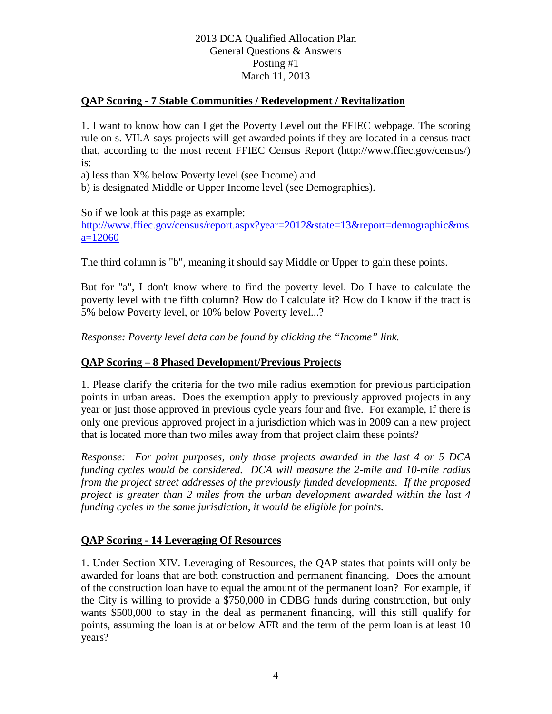# **QAP Scoring - 7 Stable Communities / Redevelopment / Revitalization**

1. I want to know how can I get the Poverty Level out the FFIEC webpage. The scoring rule on s. VII.A says projects will get awarded points if they are located in a census tract that, according to the most recent FFIEC Census Report (http://www.ffiec.gov/census/) is:

a) less than X% below Poverty level (see Income) and

b) is designated Middle or Upper Income level (see Demographics).

So if we look at this page as example:

[http://www.ffiec.gov/census/report.aspx?year=2012&state=13&report=demographic&ms](http://www.ffiec.gov/census/report.aspx?year=2012&state=13&report=demographic&msa=12060)  $a=12060$ 

The third column is "b", meaning it should say Middle or Upper to gain these points.

But for "a", I don't know where to find the poverty level. Do I have to calculate the poverty level with the fifth column? How do I calculate it? How do I know if the tract is 5% below Poverty level, or 10% below Poverty level...?

*Response: Poverty level data can be found by clicking the "Income" link.*

### **QAP Scoring – 8 Phased Development/Previous Projects**

1. Please clarify the criteria for the two mile radius exemption for previous participation points in urban areas. Does the exemption apply to previously approved projects in any year or just those approved in previous cycle years four and five. For example, if there is only one previous approved project in a jurisdiction which was in 2009 can a new project that is located more than two miles away from that project claim these points?

*Response: For point purposes, only those projects awarded in the last 4 or 5 DCA funding cycles would be considered. DCA will measure the 2-mile and 10-mile radius from the project street addresses of the previously funded developments. If the proposed project is greater than 2 miles from the urban development awarded within the last 4 funding cycles in the same jurisdiction, it would be eligible for points.*

## **QAP Scoring - 14 Leveraging Of Resources**

1. Under Section XIV. Leveraging of Resources, the QAP states that points will only be awarded for loans that are both construction and permanent financing. Does the amount of the construction loan have to equal the amount of the permanent loan? For example, if the City is willing to provide a \$750,000 in CDBG funds during construction, but only wants \$500,000 to stay in the deal as permanent financing, will this still qualify for points, assuming the loan is at or below AFR and the term of the perm loan is at least 10 years?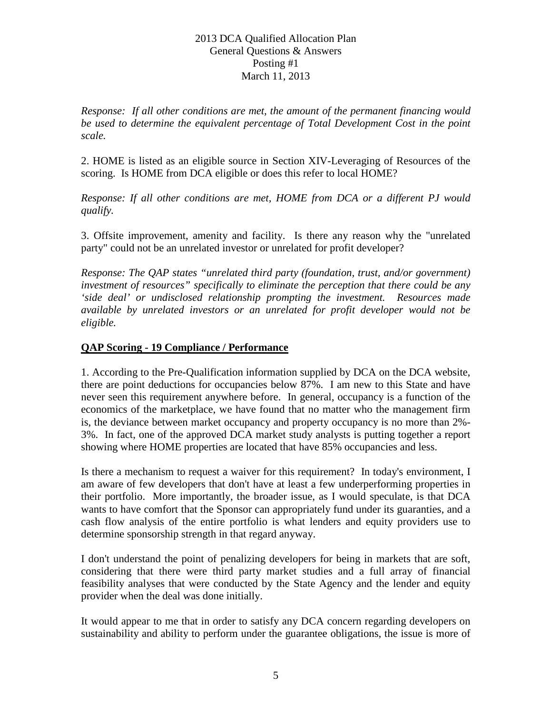*Response: If all other conditions are met, the amount of the permanent financing would be used to determine the equivalent percentage of Total Development Cost in the point scale.*

2. HOME is listed as an eligible source in Section XIV-Leveraging of Resources of the scoring. Is HOME from DCA eligible or does this refer to local HOME?

*Response: If all other conditions are met, HOME from DCA or a different PJ would qualify.*

3. Offsite improvement, amenity and facility. Is there any reason why the "unrelated party" could not be an unrelated investor or unrelated for profit developer?

*Response: The QAP states "unrelated third party (foundation, trust, and/or government) investment of resources" specifically to eliminate the perception that there could be any 'side deal' or undisclosed relationship prompting the investment. Resources made available by unrelated investors or an unrelated for profit developer would not be eligible.* 

## **QAP Scoring - 19 Compliance / Performance**

1. According to the Pre-Qualification information supplied by DCA on the DCA website, there are point deductions for occupancies below 87%. I am new to this State and have never seen this requirement anywhere before. In general, occupancy is a function of the economics of the marketplace, we have found that no matter who the management firm is, the deviance between market occupancy and property occupancy is no more than 2%- 3%. In fact, one of the approved DCA market study analysts is putting together a report showing where HOME properties are located that have 85% occupancies and less.

Is there a mechanism to request a waiver for this requirement? In today's environment, I am aware of few developers that don't have at least a few underperforming properties in their portfolio. More importantly, the broader issue, as I would speculate, is that DCA wants to have comfort that the Sponsor can appropriately fund under its guaranties, and a cash flow analysis of the entire portfolio is what lenders and equity providers use to determine sponsorship strength in that regard anyway.

I don't understand the point of penalizing developers for being in markets that are soft, considering that there were third party market studies and a full array of financial feasibility analyses that were conducted by the State Agency and the lender and equity provider when the deal was done initially.

It would appear to me that in order to satisfy any DCA concern regarding developers on sustainability and ability to perform under the guarantee obligations, the issue is more of